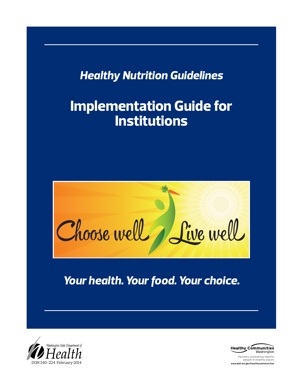*Healthy Nutrition Guidelines*

## **Implementation Guide for Institutions**

Choose well flive well

## *Your health. Your food. Your choice.*



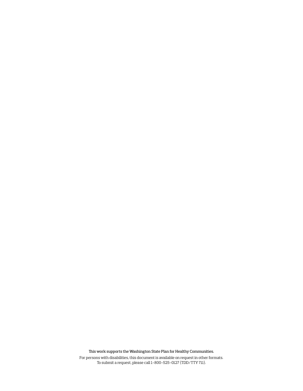This work supports the Washington State Plan for Healthy Communities.

For persons with disabilities, this document is available on request in other formats. To submit a request, please call 1-800-525-0127 (TDD/TTY 711).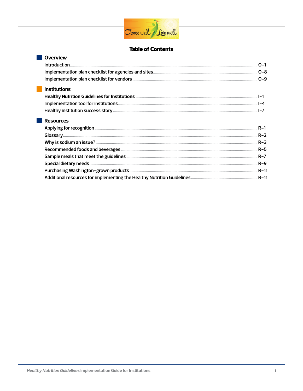

## **Table of Contents**

| <b>Overview</b>     |  |
|---------------------|--|
|                     |  |
|                     |  |
|                     |  |
| <b>Institutions</b> |  |
|                     |  |
|                     |  |
|                     |  |
| <b>Resources</b>    |  |
|                     |  |
|                     |  |
|                     |  |
|                     |  |
|                     |  |
|                     |  |
|                     |  |
|                     |  |
|                     |  |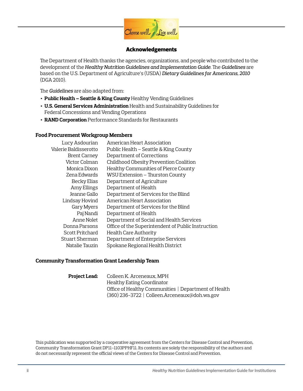

## Acknowledgements

The Department of Health thanks the agencies, organizations, and people who contributed to the development of the *Healthy Nutrition Guidelines and Implementation Guide*. The *Guidelines* are based on the U.S. Department of Agriculture's (USDA) *Dietary Guidelines for Americans, 2010* (DGA 2010).

The *Guidelines* are also adapted from:

- **[Public Health Seattle & King County](http://www.kingcounty.gov/healthservices/health/nutrition.aspx)** Healthy Vending Guidelines
- **[U.S. General Services Administration](http://www.gsa.gov/graphics/pbs/Guidelines_for_Federal_Concessions_and_Vending_Operations.pdf)** Health and Sustainability Guidelines for Federal Concessions and Vending Operations
- **[RAND Corporation](http://www.rand.org/health/feature/restaurant-performance-standards.html)** Performance Standards for Restaurants

### **Food Procurement Workgroup Members**

| Lucy Asdourian        | American Heart Association                         |
|-----------------------|----------------------------------------------------|
| Valerie Baldisserotto | Public Health - Seattle & King County              |
| <b>Brent Carney</b>   | Department of Corrections                          |
| Victor Colman         | Childhood Obesity Prevention Coalition             |
| Monica Dixon          | Healthy Communities of Pierce County               |
| Zena Edwards          | WSU Extension - Thurston County                    |
| Becky Elias           | Department of Agriculture                          |
| Amy Ellings           | Department of Health                               |
| Jeanne Gallo          | Department of Services for the Blind               |
| Lindsay Hovind        | American Heart Association                         |
| Gary Myers            | Department of Services for the Blind               |
| Paj Nandi             | Department of Health                               |
| Anne Nolet            | Department of Social and Health Services           |
| Donna Parsons         | Office of the Superintendent of Public Instruction |
| Scott Pritchard       | Health Care Authority                              |
| Stuart Sherman        | Department of Enterprise Services                  |
| Natalie Tauzin        | Spokane Regional Health District                   |

### **Community Transformation Grant Leadership Team**

| <b>Project Lead:</b> | Colleen K. Arceneaux, MPH                            |
|----------------------|------------------------------------------------------|
|                      | Healthy Eating Coordinator                           |
|                      | Office of Healthy Communities   Department of Health |
|                      | (360) 236-3722   Colleen.Arceneaux@doh.wa.gov        |

This publication was supported by a cooperative agreement from the Centers for Disease Control and Prevention, Community Transformation Grant DP11-1103PPHF11. Its contents are solely the responsibility of the authors and do not necessarily represent the official views of the Centers for Disease Control and Prevention.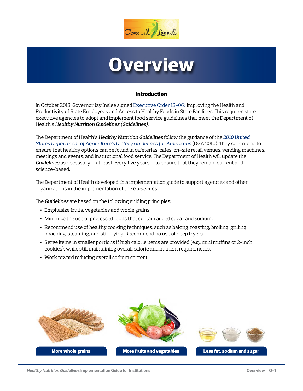

# **Overview**

## Introduction

In October 2013, Governor Jay Inslee signed [Executive Order 13-06:](http://www.governor.wa.gov/office/execorders/documents/13-06.pdf) Improving the Health and Productivity of State Employees and Access to Healthy Foods in State Facilities. This requires state executive agencies to adopt and implement food service guidelines that meet the Department of Health's *Healthy Nutrition Guidelines (Guidelines)*.

The Department of Health's *Healthy Nutrition Guidelines* follow the guidance of the *[2010 United](http://www.cnpp.usda.gov/DietaryGuidelines.htm)  [States Department of Agriculture's Dietary Guidelines for Americans](http://www.cnpp.usda.gov/DietaryGuidelines.htm)* (DGA 2010). They set criteria to ensure that healthy options can be found in cafeterias, cafés, on-site retail venues, vending machines, meetings and events, and institutional food service. The Department of Health will update the *Guidelines* as necessary — at least every five years — to ensure that they remain current and science-based.

The Department of Health developed this implementation guide to support agencies and other organizations in the implementation of the *Guidelines*.

The *Guidelines* are based on the following guiding principles:

- Emphasize fruits, vegetables and whole grains.
- Minimize the use of processed foods that contain added sugar and sodium.
- Recommend use of healthy cooking techniques, such as baking, roasting, broiling, grilling, poaching, steaming, and stir frying. Recommend no use of deep fryers.
- Serve items in smaller portions if high calorie items are provided (e.g., mini muffins or 2-inch cookies), while still maintaining overall calorie and nutrient requirements.
- Work toward reducing overall sodium content.

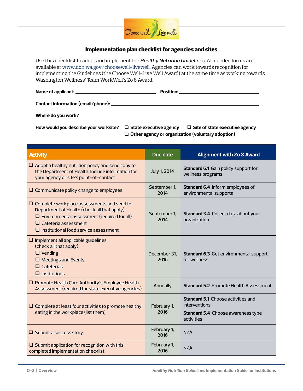

## Implementation plan checklist for agencies and sites

Use this checklist to adopt and implement the *Healthy Nutrition Guidelines*. All needed forms are available at [www.doh.wa.gov/choosewell-livewell.](http://www.doh.wa.gov/choosewell-livewell) Agencies can work towards recognition for implementing the Guidelines (the Choose Well-Live Well Award) at the same time as working towards Washington Wellness' Team WorkWell's Zo 8 Award.

| Name of applicant: _               | <b>Position:</b> |
|------------------------------------|------------------|
| Contact information (email/phone): |                  |
|                                    |                  |

**Where do you work?** 

| How would you describe your worksite? $\Box$ State executive agency |                                                          | $\Box$ Site of state executive agency |
|---------------------------------------------------------------------|----------------------------------------------------------|---------------------------------------|
|                                                                     | $\Box$ Other agency or organization (voluntary adoption) |                                       |

| <b>Activity</b>                                                                                                                                                                                                                       | Due date             | <b>Alignment with Zo 8 Award</b>                                                                                      |
|---------------------------------------------------------------------------------------------------------------------------------------------------------------------------------------------------------------------------------------|----------------------|-----------------------------------------------------------------------------------------------------------------------|
| $\Box$ Adopt a healthy nutrition policy and send copy to<br>the Department of Health. Include information for<br>your agency or site's point-of-contact                                                                               | July 1, 2014         | <b>Standard 6.1 Gain policy support for</b><br>wellness programs                                                      |
| $\Box$ Communicate policy change to employees                                                                                                                                                                                         | September 1,<br>2014 | Standard 6.4 Inform employees of<br>environmental supports                                                            |
| $\Box$ Complete workplace assessments and send to<br>Department of Health (check all that apply)<br>$\Box$ Environmental assessment (required for all)<br>$\Box$ Cafeteria assessment<br>$\Box$ Institutional food service assessment | September 1,<br>2014 | Standard 3.4 Collect data about your<br>organization                                                                  |
| $\Box$ Implement all applicable guidelines.<br>(check all that apply)<br>$\Box$ Vending<br>$\Box$ Meetings and Events<br>$\Box$ Cafeterias<br>$\Box$ Institutions                                                                     | December 31,<br>2016 | Standard 6.3 Get environmental support<br>for wellness                                                                |
| $\Box$ Promote Health Care Authority's Employee Health<br>Assessment (required for state executive agencies)                                                                                                                          | Annually             | <b>Standard 5.2 Promote Health Assessment</b>                                                                         |
| $\Box$ Complete at least four activities to promote healthy<br>eating in the workplace (list them)                                                                                                                                    | February 1,<br>2016  | <b>Standard 5.1 Choose activities and</b><br>interventions<br><b>Standard 5.4 Choose awareness type</b><br>activities |
| $\Box$ Submit a success story                                                                                                                                                                                                         | February 1,<br>2016  | N/A                                                                                                                   |
| $\Box$ Submit application for recognition with this<br>completed implementation checklist                                                                                                                                             | February 1,<br>2016  | N/A                                                                                                                   |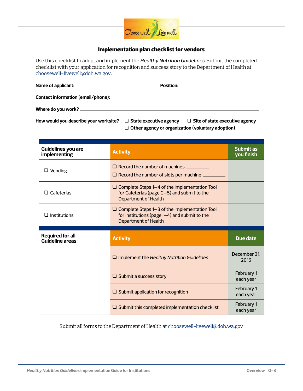

## Implementation plan checklist for vendors

Use this checklist to adopt and implement the *Healthy Nutrition Guidelines*. Submit the completed checklist with your application for recognition and success story to the Department of Health at [choosewell-livewell@doh.wa.gov](mailto:choosewell-livewell%40doh.wa.gov?subject=).

| Position: ____________________ |
|--------------------------------|
|                                |
|                                |

| How would you describe your worksite |  |  |  |  |
|--------------------------------------|--|--|--|--|
|--------------------------------------|--|--|--|--|

**How would you describe your worksite?** ❑ **State executive agency** ❑ **Site of state executive agency**  ❑ **Other agency or organization (voluntary adoption)**

| Guidelines you are<br><b>implementing</b>         | <b>Activity</b>                                                                                                                    | <b>Submit as</b><br>you finish |
|---------------------------------------------------|------------------------------------------------------------------------------------------------------------------------------------|--------------------------------|
| $\Box$ Vending                                    | $\square$ Record the number of machines<br>$\Box$ Record the number of slots per machine $\Box$                                    |                                |
| $\square$ Cafeterias                              | $\Box$ Complete Steps 1-4 of the Implementation Tool<br>for Cafeterias (page C-5) and submit to the<br><b>Department of Health</b> |                                |
| $\Box$ Institutions                               | Complete Steps 1-3 of the Implementation Tool<br>for Institutions (page $I-4$ ) and submit to the<br><b>Department of Health</b>   |                                |
|                                                   |                                                                                                                                    |                                |
| <b>Required for all</b><br><b>Guideline areas</b> | <b>Activity</b>                                                                                                                    | Due date                       |
|                                                   | $\Box$ Implement the Healthy Nutrition Guidelines                                                                                  | December 31.<br>2016           |
|                                                   | $\Box$ Submit a success story                                                                                                      | February 1<br>each year        |
|                                                   | $\Box$ Submit application for recognition                                                                                          | February 1<br>each year        |

## Submit all forms to the Department of Health at [choosewell-livewell@doh.wa.gov](mailto:choosewell-livewell%40doh.wa.gov?subject=)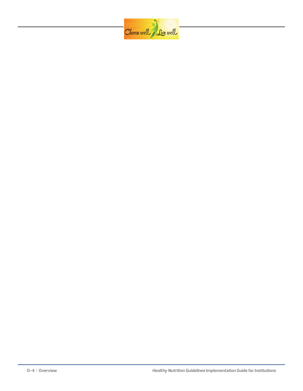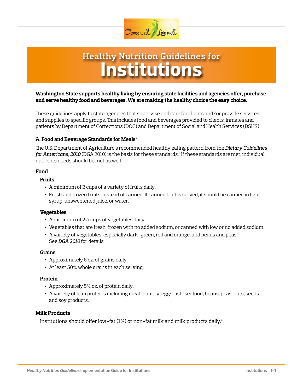

## **Healthy Nutrition Guidelines for Institutions**

## **Washington State supports healthy living by ensuring state facilities and agencies offer, purchase and serve healthy food and beverages. We are making the healthy choice the easy choice.**

These guidelines apply to state agencies that supervise and care for clients and/or provide services and supplies to specific groups. This includes food and beverages provided to clients, inmates and patients by Department of Corrections (DOC) and Department of Social and Health Services (DSHS).

## **A. Food and Beverage Standards for Meals**<sup>i</sup>

The U.S. Department of Agriculture's recommended healthy eating pattern from the *Dietary Guidelines for Americans, 2010* (DGA 2010) is the basis for these standards.<sup>ii</sup> If these standards are met, individual nutrients needs should be met as well.

## **Food**

## **Fruits**

- A minimum of 2 cups of a variety of fruits daily.
- Fresh and frozen fruits, instead of canned. If canned fruit is served, it should be canned in light syrup, unsweetened juice, or water.

## **Vegetables**

- A minimum of  $2\frac{1}{2}$  cups of vegetables daily.
- Vegetables that are fresh, frozen with no added sodium, or canned with low or no added sodium.
- A variety of vegetables, especially dark-green, red and orange, and beans and peas. See *DGA 2010* for details.

### **Grains**

- Approximately 6 oz. of grains daily.
- At least 50% whole grains in each serving.

### **Protein**

- Approximately  $5\frac{1}{2}$  oz. of protein daily.
- A variety of lean proteins including meat, poultry, eggs, fish, seafood, beans, peas, nuts, seeds and soy products.

## **Milk Products**

Institutions should offer low-fat  $(1%)$  or non-fat milk and milk products daily.<sup>iii</sup>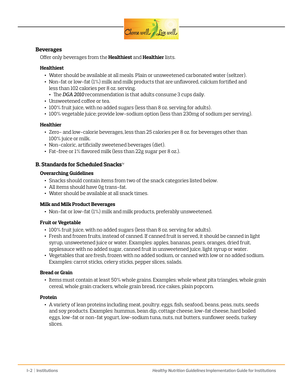

## **Beverages**

Offer only beverages from the **Healthiest** and **Healthier** lists.

## **Healthiest**

- Water should be available at all meals. Plain or unsweetened carbonated water (seltzer).
- Non-fat or low-fat (1%) milk and milk products that are unflavored, calcium fortified and less than 102 calories per 8 oz. serving.
	- The *DGA 2010* recommendation is that adults consume 3 cups daily.
- Unsweetened coffee or tea.
- 100% fruit juice, with no added sugars (less than 8 oz. serving for adults).
- 100% vegetable juice; provide low-sodium option (less than 230mg of sodium per serving).

## **Healthier**

- Zero- and low-calorie beverages, less than 25 calories per 8 oz. for beverages other than 100% juice or milk.
- Non-caloric, artificially sweetened beverages (diet).
- Fat-free or 1% flavored milk (less than 22g sugar per 8 oz.).

## **B. Standards for Scheduled Snacks**iv

## **Overarching Guidelines**

- Snacks should contain items from two of the snack categories listed below.
- All items should have 0g trans-fat.
- Water should be available at all snack times.

## **Milk and Milk Product Beverages**

• Non-fat or low-fat (1%) milk and milk products, preferably unsweetened.

## **Fruit or Vegetable**

- 100% fruit juice, with no added sugars (less than 8 oz. serving for adults).
- Fresh and frozen fruits, instead of canned. If canned fruit is served, it should be canned in light syrup, unsweetened juice or water. Examples: apples, bananas, pears, oranges, dried fruit, applesauce with no added sugar, canned fruit in unsweetened juice, light syrup or water.
- Vegetables that are fresh, frozen with no added sodium, or canned with low or no added sodium. Examples: carrot sticks, celery sticks, pepper slices, salads.

## **Bread or Grain**

• Items must contain at least 50% whole grains. Examples: whole wheat pita triangles, whole grain cereal, whole grain crackers, whole grain bread, rice cakes, plain popcorn.

## **Protein**

• A variety of lean proteins including meat, poultry, eggs, fish, seafood, beans, peas, nuts, seeds and soy products. Examples: hummus, bean dip, cottage cheese, low-fat cheese, hard boiled eggs, low-fat or non-fat yogurt, low-sodium tuna, nuts, nut butters, sunflower seeds, turkey slices.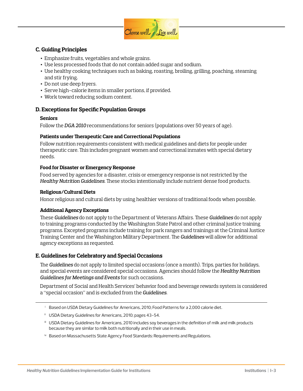

## **C. Guiding Principles**

- Emphasize fruits, vegetables and whole grains.
- Use less processed foods that do not contain added sugar and sodium.
- Use healthy cooking techniques such as baking, roasting, broiling, grilling, poaching, steaming and stir frying.
- Do not use deep fryers.
- Serve high-calorie items in smaller portions, if provided.
- Work toward reducing sodium content.

## **D. Exceptions for Specific Population Groups**

## **Seniors**

Follow the *DGA 2010* recommendations for seniors (populations over 50 years of age).

## **Patients under Therapeutic Care and Correctional Populations**

Follow nutrition requirements consistent with medical guidelines and diets for people under therapeutic care. This includes pregnant women and correctional inmates with special dietary needs.

## **Food for Disaster or Emergency Response**

Food served by agencies for a disaster, crisis or emergency response is not restricted by the *Healthy Nutrition Guidelines*. These stocks intentionally include nutrient dense food products.

## **Religious/Cultural Diets**

Honor religious and cultural diets by using healthier versions of traditional foods when possible.

## **Additional Agency Exceptions**

These *Guidelines* do not apply to the Department of Veterans Affairs. These *Guidelines* do not apply to training programs conducted by the Washington State Patrol and other criminal justice training programs. Excepted programs include training for park rangers and trainings at the Criminal Justice Training Center and the Washington Military Department. The *Guidelines* will allow for additional agency exceptions as requested.

## **E. Guidelines for Celebratory and Special Occasions**

The *Guidelines* do not apply to limited special occasions (once a month). Trips, parties for holidays, and special events are considered special occasions. Agencies should follow the *Healthy Nutrition Guidelines for Meetings and Events* for such occasions.

Department of Social and Health Services' behavior food and beverage rewards system is considered a "special occasion" and is excluded from the *Guidelines*.

- <sup>i</sup> Based on USDA Dietary Guidelines for Americans, 2010; Food Patterns for a 2,000 calorie diet.
- ii USDA Dietary Guidelines for Americans, 2010; pages 43-54.
- iii USDA Dietary Guidelines for Americans, 2010 includes soy beverages in the definition of milk and milk products because they are similar to milk both nutritionally and in their use in meals.
- <sup>iv</sup> Based on Massachusetts State Agency Food Standards: Requirements and Regulations.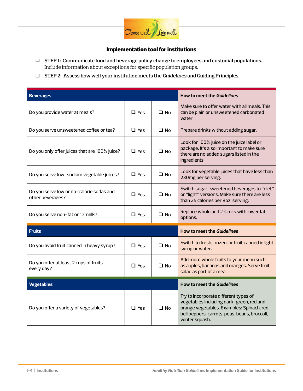

## Implementation tool for institutions

- ❑ **STEP 1: Communicate food and beverage policy change to employees and custodial populations.** Include information about exceptions for specific population groups.
- ❑ **STEP 2: Assess how well your institution meets the** *Guidelines* **and Guiding Principles.**

| <b>Beverages</b>                                             |            |              | How to meet the Guidelines                                                                                                                                                                        |
|--------------------------------------------------------------|------------|--------------|---------------------------------------------------------------------------------------------------------------------------------------------------------------------------------------------------|
| Do you provide water at meals?                               | $\Box$ Yes | $\Box$ No    | Make sure to offer water with all meals. This<br>can be plain or unsweetened carbonated<br>water.                                                                                                 |
| Do you serve unsweetened coffee or tea?                      | $\Box$ Yes | $\Box$ No    | Prepare drinks without adding sugar.                                                                                                                                                              |
| Do you only offer juices that are 100% juice?                | $\Box$ Yes | $\Box$ No    | Look for 100% juice on the juice label or<br>package. It's also important to make sure<br>there are no added sugars listed in the<br>ingredients.                                                 |
| Do you serve low-sodium vegetable juices?                    | $\Box$ Yes | $\square$ No | Look for vegetable juices that have less than<br>230mg per serving.                                                                                                                               |
| Do you serve low or no-calorie sodas and<br>other beverages? | $\Box$ Yes | $\Box$ No    | Switch sugar-sweetened beverages to "diet"<br>or "light" versions. Make sure there are less<br>than 25 calories per 8oz. serving.                                                                 |
| Do you serve non-fat or 1% milk?                             | $\Box$ Yes | $\Box$ No    | Replace whole and 2% milk with lower fat<br>options.                                                                                                                                              |
| <b>Fruits</b>                                                |            |              | <b>How to meet the Guidelines</b>                                                                                                                                                                 |
| Do you avoid fruit canned in heavy syrup?                    | $\Box$ Yes | $\Box$ No    | Switch to fresh, frozen, or fruit canned in light<br>syrup or water.                                                                                                                              |
| Do you offer at least 2 cups of fruits<br>every day?         | $\Box$ Yes | $\Box$ No    | Add more whole fruits to your menu such<br>as apples, bananas and oranges. Serve fruit<br>salad as part of a meal.                                                                                |
| <b>Vegetables</b>                                            |            |              | How to meet the Guidelines                                                                                                                                                                        |
| Do you offer a variety of vegetables?                        | $\Box$ Yes | $\Box$ No    | Try to incorporate different types of<br>vegetables including dark-green, red and<br>orange vegetables. Examples: Spinach, red<br>bell peppers, carrots, peas, beans, broccoli,<br>winter squash. |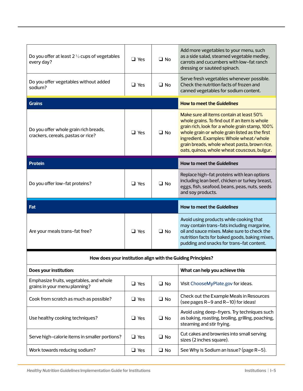| Do you offer at least $2\frac{1}{2}$ cups of vegetables<br>every day?       | $\Box$ Yes | $\Box$ No    | Add more vegetables to your menu, such<br>as a side salad, steamed vegetable medley,<br>carrots and cucumbers with low-fat ranch<br>dressing or sautéed spinach.                                                                                                                                                                        |
|-----------------------------------------------------------------------------|------------|--------------|-----------------------------------------------------------------------------------------------------------------------------------------------------------------------------------------------------------------------------------------------------------------------------------------------------------------------------------------|
| Do you offer vegetables without added<br>sodium?                            | $\Box$ Yes | $\Box$ No    | Serve fresh vegetables whenever possible.<br>Check the nutrition facts of frozen and<br>canned vegetables for sodium content.                                                                                                                                                                                                           |
| <b>Grains</b>                                                               |            |              | <b>How to meet the Guidelines</b>                                                                                                                                                                                                                                                                                                       |
| Do you offer whole grain rich breads,<br>crackers, cereals, pastas or rice? | $\Box$ Yes | $\Box$ No    | Make sure all items contain at least 50%<br>whole grains. To find out if an item is whole<br>grain rich, look for a whole grain stamp, 100%<br>whole grain or whole grain listed as the first<br>ingredient. Examples: Whole wheat/whole<br>grain breads, whole wheat pasta, brown rice,<br>oats, quinoa, whole wheat couscous, bulgur. |
| <b>Protein</b>                                                              |            |              | <b>How to meet the Guidelines</b>                                                                                                                                                                                                                                                                                                       |
| Do you offer low-fat proteins?                                              | $\Box$ Yes | $\Box$ No    | Replace high-fat proteins with lean options<br>including lean beef, chicken or turkey breast,<br>eggs, fish, seafood, beans, peas, nuts, seeds<br>and soy products.                                                                                                                                                                     |
|                                                                             |            |              |                                                                                                                                                                                                                                                                                                                                         |
| Fat                                                                         |            |              | <b>How to meet the Guidelines</b>                                                                                                                                                                                                                                                                                                       |
| Are your meals trans-fat free?                                              | $\Box$ Yes | $\Box$ No    | Avoid using products while cooking that<br>may contain trans-fats including margarine,<br>oil and sauce mixes. Make sure to check the<br>nutrition facts for baked goods, baking mixes,<br>pudding and snacks for trans-fat content.                                                                                                    |
|                                                                             |            |              | How does your institution align with the Guiding Principles?                                                                                                                                                                                                                                                                            |
| Does your institution:                                                      |            |              | What can help you achieve this                                                                                                                                                                                                                                                                                                          |
| Emphasize fruits, vegetables, and whole<br>grains in your menu planning?    | $\Box$ Yes | $\square$ No | Visit ChooseMyPlate.gov for ideas.                                                                                                                                                                                                                                                                                                      |
| Cook from scratch as much as possible?                                      | $\Box$ Yes | $\Box$ No    | Check out the Example Meals in Resources<br>(see pages R-9 and R-10) for ideas!                                                                                                                                                                                                                                                         |
| Use healthy cooking techniques?                                             | $\Box$ Yes | $\Box$ No    | Avoid using deep-fryers. Try techniques such<br>as baking, roasting, broiling, grilling, poaching,<br>steaming and stir frying.                                                                                                                                                                                                         |
| Serve high-calorie items in smaller portions?                               | $\Box$ Yes | $\square$ No | Cut cakes and brownies into small serving<br>sizes (2 inches square).                                                                                                                                                                                                                                                                   |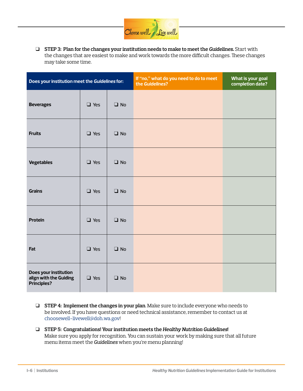

❑ **STEP 3: Plan for the changes your institution needs to make to meet the** *Guidelines***.** Start with the changes that are easiest to make and work towards the more difficult changes. These changes may take some time.

| Does your institution meet the Guidelines for:                        |            | If "no," what do you need to do to meet<br>the Guidelines? | What is your goal<br>completion date? |  |
|-----------------------------------------------------------------------|------------|------------------------------------------------------------|---------------------------------------|--|
| <b>Beverages</b>                                                      | $\Box$ Yes | $\Box$ No                                                  |                                       |  |
| <b>Fruits</b>                                                         | $\Box$ Yes | $\square$ No                                               |                                       |  |
| <b>Vegetables</b>                                                     | $\Box$ Yes | $\square$ No                                               |                                       |  |
| <b>Grains</b>                                                         | $\Box$ Yes | $\Box$ No                                                  |                                       |  |
| Protein                                                               | $\Box$ Yes | $\square$ No                                               |                                       |  |
| Fat                                                                   | $\Box$ Yes | $\square$ No                                               |                                       |  |
| Does your institution<br>align with the Guiding<br><b>Principles?</b> | $\Box$ Yes | $\Box$ No                                                  |                                       |  |

- ❑ **STEP 4: Implement the changes in your plan**. Make sure to include everyone who needs to be involved. If you have questions or need technical assistance, remember to contact us at [choosewell-livewell@doh.wa.gov](mailto:choosewell-livewell%40doh.wa.gov?subject=)!
- ❑ **STEP 5: Congratulations! Your institution meets the** *Healthy Nutrition Guidelines***!** Make sure you apply for recognition. You can sustain your work by making sure that all future menu items meet the *Guidelines* when you're menu planning!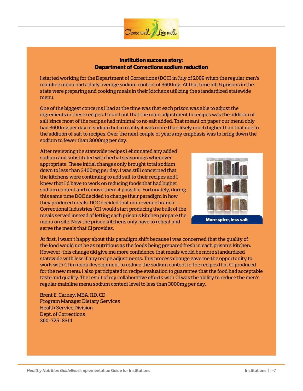

## Institution success story: Department of Corrections sodium reduction

I started working for the Department of Corrections (DOC) in July of 2009 when the regular men's mainline menu had a daily average sodium content of 3600mg. At that time all 15 prisons in the state were preparing and cooking meals in their kitchens utilizing the standardized statewide menu.

One of the biggest concerns I had at the time was that each prison was able to adjust the ingredients in these recipes. I found out that the main adjustment to recipes was the addition of salt since most of the recipes had minimal to no salt added. That meant on paper our menu only had 3600mg per day of sodium but in reality it was more than likely much higher than that due to the addition of salt to recipes. Over the next couple of years my emphasis was to bring down the sodium to fewer than 3000mg per day.

After reviewing the statewide recipes I eliminated any added sodium and substituted with herbal seasonings whenever appropriate. These initial changes only brought total sodium down to less than 3400mg per day. I was still concerned that the kitchens were continuing to add salt to their recipes and I knew that I'd have to work on reducing foods that had higher sodium content and remove them if possible. Fortunately, during this same time DOC decided to change their paradigm in how they produced meals. DOC decided that our revenue branch — Correctional Industries (CI) would start producing the bulk of the meals served instead of letting each prison's kitchen prepare the menu on site. Now the prison kitchens only have to reheat and serve the meals that CI provides.



More spice, less salt

At first, I wasn't happy about this paradigm shift because I was concerned that the quality of the food would not be as nutritious as the foods being prepared fresh in each prison's kitchen. However, this change did give me more confidence that meals would be more standardized statewide with less if any recipe adjustments. This process change gave me the opportunity to work with CI in menu development to reduce the sodium content in the recipes that CI produced for the new menu. I also participated in recipe evaluation to guarantee that the food had acceptable taste and quality. The result of my collaborative efforts with CI was the ability to reduce the men's regular mainline menu sodium content level to less than 3000mg per day.

Brent E. Carney, MBA, RD, CD Program Manager Dietary Services Health Service Division Dept. of Corrections 360-725-8314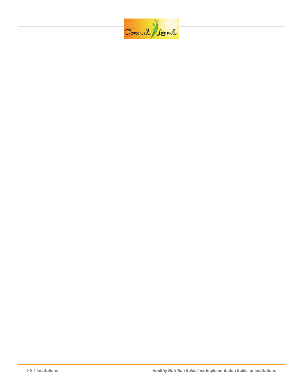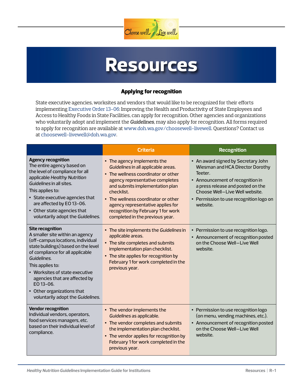

# **Resources**

## Applying for recognition

State executive agencies, worksites and vendors that would like to be recognized for their efforts implementing [Executive Order 13-06:](http://www.governor.wa.gov/office/execorders/documents/13-06.pdf) Improving the Health and Productivity of State Employees and Access to Healthy Foods in State Facilities, can apply for recognition. Other agencies and organizations who voluntarily adopt and implement the *Guidelines*, may also apply for recognition. All forms required to apply for recognition are available at [www.doh.wa.gov/choosewell-livewell](http://www.doh.wa.gov/choosewell-livewell). Questions? Contact us at [choosewell-livewell@doh.wa.gov](mailto:choosewell-livewell%40doh.wa.gov?subject=).

|                                                                                                                                                                                                                                                                                                                                                                  | <b>Criteria</b>                                                                                                                                                                                                                                                                                                                                    | <b>Recognition</b>                                                                                                                                                                                                                                   |
|------------------------------------------------------------------------------------------------------------------------------------------------------------------------------------------------------------------------------------------------------------------------------------------------------------------------------------------------------------------|----------------------------------------------------------------------------------------------------------------------------------------------------------------------------------------------------------------------------------------------------------------------------------------------------------------------------------------------------|------------------------------------------------------------------------------------------------------------------------------------------------------------------------------------------------------------------------------------------------------|
| <b>Agency recognition</b><br>The entire agency based on<br>the level of compliance for all<br>applicable Healthy Nutrition<br>Guidelines in all sites.<br>This applies to:<br>• State executive agencies that<br>are affected by EO 13-06.<br>• Other state agencies that<br>voluntarily adopt the Guidelines.                                                   | • The agency implements the<br>Guidelines in all applicable areas.<br>• The wellness coordinator or other<br>agency representative completes<br>and submits implementation plan<br>checklist.<br>• The wellness coordinator or other<br>agency representative applies for<br>recognition by February 1 for work<br>completed in the previous year. | • An award signed by Secretary John<br>Wiesman and HCA Director Dorothy<br>Teeter.<br>• Announcement of recognition in<br>a press release and posted on the<br>Choose Well-Live Well website.<br>• Permission to use recognition logo on<br>website. |
| <b>Site recognition</b><br>A smaller site within an agency<br>(off-campus locations, individual<br>state buildings) based on the level<br>of compliance for all applicable<br>Guidelines.<br>This applies to:<br>• Worksites of state executive<br>agencies that are affected by<br>EO 13-06.<br>• Other organizations that<br>voluntarily adopt the Guidelines. | • The site implements the Guidelines in<br>applicable areas.<br>• The site completes and submits<br>implementation plan checklist.<br>• The site applies for recognition by<br>February 1 for work completed in the<br>previous year.                                                                                                              | • Permission to use recognition logo.<br>• Announcement of recognition posted<br>on the Choose Well-Live Well<br>website.                                                                                                                            |
| <b>Vendor recognition</b><br>Individual vendors, operators,<br>food services managers, etc.<br>based on their individual level of<br>compliance.                                                                                                                                                                                                                 | • The vendor implements the<br>Guidelines as applicable.<br>• The vendor completes and submits<br>the implementation plan checklist.<br>• The vendor applies for recognition by<br>February 1 for work completed in the<br>previous year.                                                                                                          | • Permission to use recognition logo<br>(on menu, vending machines, etc.).<br>• Announcement of recognition posted<br>on the Choose Well-Live Well<br>website.                                                                                       |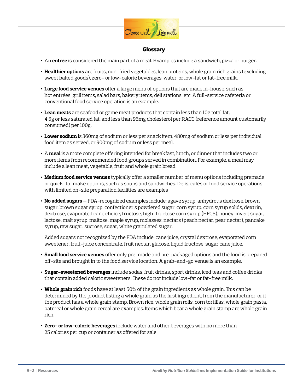

## Glossary

- An **entrée** is considered the main part of a meal. Examples include a sandwich, pizza or burger.
- **Healthier options** are fruits, non-fried vegetables, lean proteins, whole grain rich grains (excluding sweet baked goods), zero- or low-calorie beverages, water, or low-fat or fat-free milk.
- **Large food service venues** offer a large menu of options that are made in-house, such as hot entrées, grill items, salad bars, bakery items, deli stations, etc. A full-service cafeteria or conventional food service operation is an example.
- **Lean meats** are seafood or game meat products that contain less than 10g total fat, 4.5g or less saturated fat, and less than 95mg cholesterol per RACC (reference amount customarily consumed) per 100g.
- **Lower sodium** is 360mg of sodium or less per snack item, 480mg of sodium or less per individual food item as served, or 900mg of sodium or less per meal.
- A **meal** is a more complete offering intended for breakfast, lunch, or dinner that includes two or more items from recommended food groups served in combination. For example, a meal may include a lean meat, vegetable, fruit and whole grain bread.
- **Medium food service venues** typically offer a smaller number of menu options including premade or quick-to-make options, such as soups and sandwiches. Delis, cafés or food service operations with limited on-site preparation facilities are examples
- **No added sugars** FDA-recognized examples include: agave syrup, anhydrous dextrose, brown sugar, brown sugar syrup, confectioner's powdered sugar, corn syrup, corn syrup solids, dextrin, dextrose, evaporated cane choice, fructose, high-fructose corn syrup (HFCS), honey, invert sugar, lactose, malt syrup, maltose, maple syrup, molasses, nectars (peach nectar, pear nectar), pancake syrup, raw sugar, sucrose, sugar, white granulated sugar.

Added sugars not recognized by the FDA include: cane juice, crystal dextrose, evaporated corn sweetener, fruit-juice concentrate, fruit nectar, glucose, liquid fructose, sugar cane juice.

- **Small food service venues** offer only pre-made and pre-packaged options and the food is prepared off-site and brought in to the food service location. A grab-and-go venue is an example.
- **Sugar-sweetened beverages** include sodas, fruit drinks, sport drinks, iced teas and coffee drinks that contain added caloric sweeteners. These do not include low-fat or fat-free milk.
- **Whole grain rich** foods have at least 50% of the grain ingredients as whole grain. This can be determined by the product listing a whole grain as the first ingredient, from the manufacturer, or if the product has a whole grain stamp. Brown rice, whole grain rolls, corn tortillas, whole grain pasta, oatmeal or whole grain cereal are examples. Items which bear a whole grain stamp are whole grain rich.
- **Zero- or low-calorie beverages** include water and other beverages with no more than 25 calories per cup or container as offered for sale.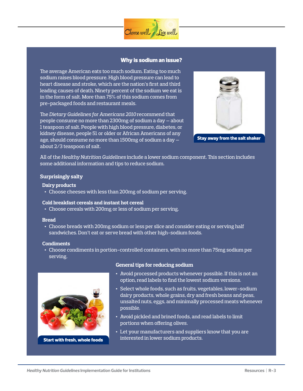

## Why is sodium an issue?

The average American eats too much sodium. Eating too much sodium raises blood pressure. High blood pressure can lead to heart disease and stroke, which are the nation's first and third leading causes of death. Ninety percent of the sodium we eat is in the form of salt. More than 75% of this sodium comes from pre-packaged foods and restaurant meals.

The *Dietary Guidelines for Americans 2010* recommend that people consume no more than 2300mg of sodium a day — about 1 teaspoon of salt. People with high blood pressure, diabetes, or kidney disease, people 51 or older or African Americans of any age, should consume no more than 1500mg of sodium a day about 2/3 teaspoon of salt.



Stay away from the salt shaker

All of the *Healthy Nutrition Guidelines* include a lower sodium component. This section includes some additional information and tips to reduce sodium.

## **Surprisingly salty**

#### **Dairy products**

• Choose cheeses with less than 200mg of sodium per serving.

## **Cold breakfast cereals and instant hot cereal**

• Choose cereals with 200mg or less of sodium per serving.

#### **Bread**

• Choose breads with 200mg sodium or less per slice and consider eating or serving half sandwiches. Don't eat or serve bread with other high-sodium foods.

### **Condiments**

• Choose condiments in portion-controlled containers, with no more than 75mg sodium per serving.



Start with fresh, whole foods

**General tips for reducing sodium** 

- Avoid processed products whenever possible. If this is not an option, read labels to find the lowest sodium versions.
- Select whole foods, such as fruits, vegetables, lower-sodium dairy products, whole grains, dry and fresh beans and peas, unsalted nuts, eggs, and minimally processed meats whenever possible.
- Avoid pickled and brined foods, and read labels to limit portions when offering olives.
- Let your manufacturers and suppliers know that you are interested in lower sodium products.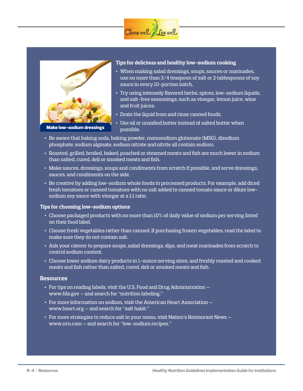



Make low-sodium dressings

## **Tips for delicious and healthy low-sodium cooking**

- When making salad dressings, soups, sauces or marinades, use no more than 3/4 teaspoon of salt or 2 tablespoons of soy sauce in every 10-portion batch.
- Try using intensely flavored herbs, spices, low-sodium liquids, and salt-free seasonings, such as vinegar, lemon juice, wine and fruit juices.
- Drain the liquid from and rinse canned foods.
- Use oil or unsalted butter instead of salted butter when possible.
- Be aware that baking soda, baking powder, monosodium glutamate (MSG), disodium phosphate, sodium alginate, sodium nitrate and nitrite all contain sodium.
- Roasted, grilled, broiled, baked, poached or steamed meats and fish are much lower in sodium than salted, cured, deli or smoked meats and fish.
- Make sauces, dressings, soups and condiments from scratch if possible, and serve dressings, sauces, and condiments on the side.
- Be creative by adding low-sodium whole foods to processed products. For example, add diced fresh tomatoes or canned tomatoes with no salt added to canned tomato sauce or dilute lowsodium soy sauce with vinegar at a 1:1 ratio.

### **Tips for choosing low-sodium options**

- Choose packaged products with no more than 10% of daily value of sodium per serving listed on their food label.
- Choose fresh vegetables rather than canned. If purchasing frozen vegetables, read the label to make sure they do not contain salt.
- Ask your caterer to prepare soups, salad dressings, dips, and meat marinades from scratch to control sodium content.
- Choose lower sodium dairy products in 1-ounce serving sizes, and freshly roasted and cooked meats and fish rather than salted, cured, deli or smoked meats and fish.

### **Resources**

- For tips on reading labels, visit the U.S. Food and Drug Administration [www.fda.gov](http://www.fda.gov) — and search for "nutrition labeling."
- For more information on sodium, visit the American Heart Association [www.heart.org](http://www.heart.org) — and search for "salt habit."
- For more strategies to reduce salt in your menu, visit Nation's Restaurant News [www.nrn.com](http://www.nrn.com) — and search for "low-sodium recipes."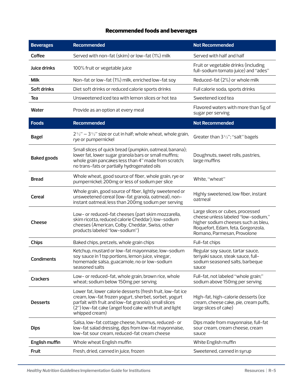## Recommended foods and beverages

| <b>Beverages</b>   | <b>Recommended</b>                                                                                                                                                                                                                                         | <b>Not Recommended</b>                                                                                                                                                              |
|--------------------|------------------------------------------------------------------------------------------------------------------------------------------------------------------------------------------------------------------------------------------------------------|-------------------------------------------------------------------------------------------------------------------------------------------------------------------------------------|
| Coffee             | Served with non-fat (skim) or low-fat (1%) milk                                                                                                                                                                                                            | Served with half and half                                                                                                                                                           |
| Juice drinks       | 100% fruit or vegetable juice                                                                                                                                                                                                                              | Fruit or vegetable drinks (including<br>full-sodium tomato juice) and "ades"                                                                                                        |
| <b>Milk</b>        | Non-fat or low-fat (1%) milk, enriched low-fat soy                                                                                                                                                                                                         | Reduced-fat (2%) or whole milk                                                                                                                                                      |
| Soft drinks        | Diet soft drinks or reduced calorie sports drinks                                                                                                                                                                                                          | Full calorie soda, sports drinks                                                                                                                                                    |
| Tea                | Unsweetened iced tea with lemon slices or hot tea                                                                                                                                                                                                          | Sweetened iced tea                                                                                                                                                                  |
| Water              | Provide as an option at every meal                                                                                                                                                                                                                         | Flavored waters with more than 5g of<br>sugar per serving                                                                                                                           |
| <b>Foods</b>       | <b>Recommended</b>                                                                                                                                                                                                                                         | <b>Not Recommended</b>                                                                                                                                                              |
| <b>Bagel</b>       | $2\frac{1}{2}$ " - 3 $\frac{1}{2}$ " size or cut in half; whole wheat, whole grain,<br>rye or pumpernickel                                                                                                                                                 | Greater than $3\frac{1}{2}$ "; "salt" bagels                                                                                                                                        |
| <b>Baked goods</b> | Small slices of quick bread (pumpkin, oatmeal, banana);<br>lower fat, lower sugar granola bars or small muffins;<br>whole grain pancakes less than 4" made from scratch;<br>no trans-fats or partially hydrogenated oils                                   | Doughnuts, sweet rolls, pastries,<br>large muffins                                                                                                                                  |
| <b>Bread</b>       | Whole wheat, good source of fiber, whole grain, rye or<br>pumpernickel; 200mg or less of sodium per slice                                                                                                                                                  | White, "wheat"                                                                                                                                                                      |
| Cereal             | Whole grain, good source of fiber, lightly sweetened or<br>unsweetened cereal (low-fat granola, oatmeal), non-<br>instant oatmeal; less than 200mg sodium per serving                                                                                      | Highly sweetened, low fiber, instant<br>oatmeal                                                                                                                                     |
| Cheese             | Low- or reduced-fat cheeses (part skim mozzarella,<br>skim ricotta, reduced calorie Cheddar); low-sodium<br>cheeses (American, Colby, Cheddar, Swiss, other<br>products labeled "low-sodium")                                                              | Large slices or cubes, processed<br>cheese unless labeled "low-sodium,"<br>higher sodium cheeses such as bleu,<br>Roquefort, Edam, feta, Gorgonzola,<br>Romano, Parmesan, Provolone |
| Chips              | Baked chips, pretzels, whole grain chips                                                                                                                                                                                                                   | Full-fat chips                                                                                                                                                                      |
| Condiments         | Ketchup, mustard or low-fat mayonnaise, low-sodium<br>soy sauce in 1 tsp portions, lemon juice, vinegar,<br>homemade salsa, guacamole, no or low-sodium<br>seasoned salts                                                                                  | Regular soy sauce, tartar sauce,<br>teriyaki sauce, steak sauce, full-<br>sodium seasoned salts, barbeque<br>sauce                                                                  |
| <b>Crackers</b>    | Low- or reduced-fat, whole grain, brown rice, whole<br>wheat; sodium below 150mg per serving                                                                                                                                                               | Full-fat, not labeled "whole grain;"<br>sodium above 150mg per serving                                                                                                              |
| <b>Desserts</b>    | Lower fat, lower calorie desserts (fresh fruit, low-fat ice<br>cream, low-fat frozen yogurt, sherbet, sorbet, yogurt<br>parfait with fruit and low-fat granola); small slices<br>(2") low-fat cake (angel food cake with fruit and light<br>whipped cream) | High-fat, high-calorie desserts (ice<br>cream, cheese cake, pie, cream puffs,<br>large slices of cake)                                                                              |
| <b>Dips</b>        | Salsa, low-fat cottage cheese, hummus, reduced- or<br>low-fat salad dressing, dips from low-fat mayonnaise,<br>low-fat sour cream, reduced-fat cream cheese                                                                                                | Dips made from mayonnaise, full-fat<br>sour cream, cream cheese, cream<br>sauce                                                                                                     |
| English muffin     | Whole wheat English muffin                                                                                                                                                                                                                                 | White English muffin                                                                                                                                                                |
| Fruit              | Fresh, dried, canned in juice, frozen                                                                                                                                                                                                                      | Sweetened, canned in syrup                                                                                                                                                          |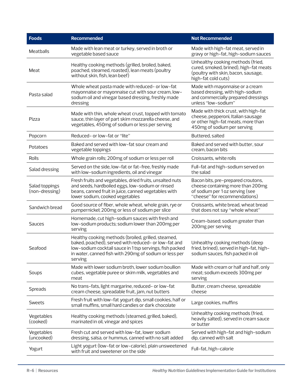| <b>Foods</b>                     | <b>Recommended</b>                                                                                                                                                                                                                           | <b>Not Recommended</b>                                                                                                                          |
|----------------------------------|----------------------------------------------------------------------------------------------------------------------------------------------------------------------------------------------------------------------------------------------|-------------------------------------------------------------------------------------------------------------------------------------------------|
| Meatballs                        | Made with lean meat or turkey, served in broth or<br>vegetable based sauce                                                                                                                                                                   | Made with high-fat meat, served in<br>gravy or high-fat, high-sodium sauces                                                                     |
| Meat                             | Healthy cooking methods (grilled, broiled, baked,<br>poached, steamed, roasted), lean meats (poultry<br>without skin, fish, lean beef)                                                                                                       | Unhealthy cooking methods (fried,<br>cured, smoked, brined), high-fat meats<br>(poultry with skin, bacon, sausage,<br>high-fat cold cuts)       |
| Pasta salad                      | Whole wheat pasta made with reduced- or low-fat<br>mayonnaise or mayonnaise cut with sour cream, low-<br>sodium oil and vinegar based dressing, freshly made<br>dressing                                                                     | Made with mayonnaise or a cream<br>based dressing, with high-sodium<br>and commercially prepared dressings<br>unless "low-sodium"               |
| Pizza                            | Made with thin, whole wheat crust, topped with tomato<br>sauce, thin layer of part skim mozzarella cheese, and<br>vegetables, 450mg of sodium or less per serving                                                                            | Made with thick crust, with high-fat<br>cheese, pepperoni, Italian sausage<br>or other high-fat meats, more than<br>450mg of sodium per serving |
| Popcorn                          | Reduced- or low-fat or "lite"                                                                                                                                                                                                                | Buttered, salted                                                                                                                                |
| Potatoes                         | Baked and served with low-fat sour cream and<br>vegetable toppings                                                                                                                                                                           | Baked and served with butter, sour<br>cream, bacon bits                                                                                         |
| Rolls                            | Whole grain rolls; 200mg of sodium or less per roll                                                                                                                                                                                          | Croissants, white rolls                                                                                                                         |
| Salad dressing                   | Served on the side, low-fat or fat-free, freshly made<br>with low-sodium ingredients, oil and vinegar                                                                                                                                        | Full-fat and high-sodium served on<br>the salad                                                                                                 |
| Salad toppings<br>(non-dressing) | Fresh fruits and vegetables, dried fruits, unsalted nuts<br>and seeds, hardboiled eggs, low-sodium or rinsed<br>beans, canned fruit in juice, canned vegetables with<br>lower sodium, cooked vegetables                                      | Bacon bits, pre-prepared croutons,<br>cheese containing more than 200mg<br>of sodium per 1 oz serving (see<br>"cheese" for recommendations)     |
| Sandwich bread                   | Good source of fiber, whole wheat, whole grain, rye or<br>pumpernickel; 200mg or less of sodium per slice                                                                                                                                    | Croissants, white bread, wheat bread<br>that does not say "whole wheat"                                                                         |
| Sauces                           | Homemade, cut high-sodium sauces with fresh and<br>low-sodium products; sodium lower than 200mg per<br>serving                                                                                                                               | Cream-based; sodium greater than<br>200mg per serving                                                                                           |
| Seafood                          | Healthy cooking methods (broiled, grilled, steamed,<br>baked, poached), served with reduced- or low-fat and<br>low-sodium cocktail sauce in 1 tsp servings, fish packed<br>in water, canned fish with 290mg of sodium or less per<br>serving | Unhealthy cooking methods (deep<br>fried, brined), served in high-fat, high-<br>sodium sauces, fish packed in oil                               |
| Soups                            | Made with lower sodium broth, lower sodium boullion<br>cubes, vegetable puree or skim milk, vegetables and<br>meat                                                                                                                           | Made with cream or half and half, only<br>meat; sodium exceeds 300mg per<br>serving                                                             |
| <b>Spreads</b>                   | No trans-fats, light margarine, reduced- or low-fat<br>cream cheese, spreadable fruit, jam, nut butters                                                                                                                                      | Butter, cream cheese, spreadable<br>cheese                                                                                                      |
| <b>Sweets</b>                    | Fresh fruit with low-fat yogurt dip, small cookies, half or<br>small muffins, small hard candies or dark chocolate                                                                                                                           | Large cookies, muffins                                                                                                                          |
| Vegetables<br>(cooked)           | Healthy cooking methods (steamed, grilled, baked),<br>marinated in oil, vinegar and spices                                                                                                                                                   | Unhealthy cooking methods (fried,<br>heavily salted), served in cream sauce<br>or butter                                                        |
| Vegetables<br>(uncooked)         | Fresh cut and served with low-fat, lower sodium<br>dressing, salsa, or hummus, canned with no salt added                                                                                                                                     | Served with high-fat and high-sodium<br>dip, canned with salt                                                                                   |
| Yogurt                           | Light yogurt (low-fat or low-calorie), plain unsweetened<br>with fruit and sweetener on the side                                                                                                                                             | Full-fat, high-calorie                                                                                                                          |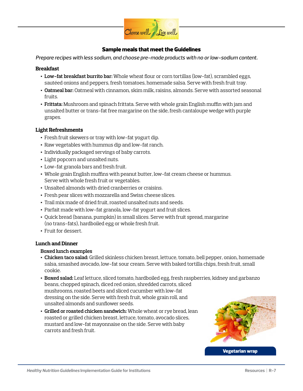

## Sample meals that meet the Guidelines

*Prepare recipes with less sodium, and choose pre-made products with no or low-sodium content.*

## **Breakfast**

- **Low-fat breakfast burrito bar:** Whole wheat flour or corn tortillas (low-fat), scrambled eggs, sautéed onions and peppers, fresh tomatoes, homemade salsa. Serve with fresh fruit tray.
- **Oatmeal bar:** Oatmeal with cinnamon, skim milk, raisins, almonds. Serve with assorted seasonal fruits.
- **Frittata:** Mushroom and spinach frittata. Serve with whole grain English muffin with jam and unsalted butter or trans-fat free margarine on the side, fresh cantaloupe wedge with purple grapes.

## **Light Refreshments**

- Fresh fruit skewers or tray with low-fat yogurt dip.
- Raw vegetables with hummus dip and low-fat ranch.
- Individually packaged servings of baby carrots.
- Light popcorn and unsalted nuts.
- Low-fat granola bars and fresh fruit.
- Whole grain English muffins with peanut butter, low-fat cream cheese or hummus. Serve with whole fresh fruit or vegetables.
- Unsalted almonds with dried cranberries or craisins.
- Fresh pear slices with mozzarella and Swiss cheese slices.
- Trail mix made of dried fruit, roasted unsalted nuts and seeds.
- Parfait made with low-fat granola, low-fat yogurt and fruit slices.
- Quick bread (banana, pumpkin) in small slices. Serve with fruit spread, margarine (no trans-fats), hardboiled egg or whole fresh fruit.
- Fruit for dessert.

## **Lunch and Dinner**

### **Boxed lunch examples**

- **Chicken taco salad:** Grilled skinless chicken breast, lettuce, tomato, bell pepper, onion, homemade salsa, smashed avocado, low-fat sour cream. Serve with baked tortilla chips, fresh fruit, small cookie.
- **Boxed salad:** Leaf lettuce, sliced tomato, hardboiled egg, fresh raspberries, kidney and garbanzo beans, chopped spinach, diced red onion, shredded carrots, sliced mushrooms, roasted beets and sliced cucumber with low-fat dressing on the side. Serve with fresh fruit, whole grain roll, and unsalted almonds and sunflower seeds.
- **Grilled or roasted chicken sandwich:** Whole wheat or rye bread, lean roasted or grilled chicken breast, lettuce, tomato, avocado slices, mustard and low-fat mayonnaise on the side. Serve with baby carrots and fresh fruit.



Vegetarian wrap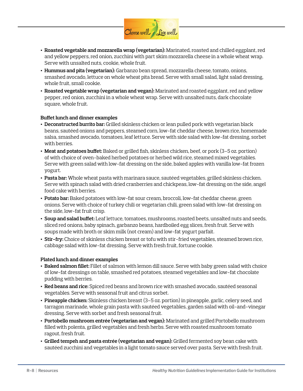

- **Roasted vegetable and mozzarella wrap (vegetarian):** Marinated, roasted and chilled eggplant, red and yellow peppers, red onion, zucchini with part skim mozzarella cheese in a whole wheat wrap. Serve with unsalted nuts, cookie, whole fruit.
- **Hummus and pita (vegetarian):** Garbanzo bean spread, mozzarella cheese, tomato, onions, smashed avocado, lettuce on whole wheat pita bread. Serve with small salad, light salad dressing, whole fruit, small cookie.
- **Roasted vegetable wrap (vegetarian and vegan):** Marinated and roasted eggplant, red and yellow pepper, red onion, zucchini in a whole wheat wrap. Serve with unsalted nuts, dark chocolate square, whole fruit.

## **Buffet lunch and dinner examples**

- **Deconstructed burrito bar:** Grilled skinless chicken or lean pulled pork with vegetarian black beans, sautéed onions and peppers, steamed corn, low-fat cheddar cheese, brown rice, homemade salsa, smashed avocado, tomatoes, leaf lettuce. Serve with side salad with low-fat dressing, sorbet with berries.
- **Meat and potatoes buffet:** Baked or grilled fish, skinless chicken, beef, or pork (3–5 oz. portion) of with choice of oven-baked herbed potatoes or herbed wild rice, steamed mixed vegetables. Serve with green salad with low-fat dressing on the side, baked apples with vanilla low-fat frozen yogurt.
- **Pasta bar:** Whole wheat pasta with marinara sauce, sautéed vegetables, grilled skinless chicken. Serve with spinach salad with dried cranberries and chickpeas, low-fat dressing on the side, angel food cake with berries.
- **Potato bar:** Baked potatoes with low-fat sour cream, broccoli, low-fat cheddar cheese, green onions. Serve with choice of turkey chili or vegetarian chili, green salad with low-fat dressing on the side, low-fat fruit crisp.
- **Soup and salad buffet:** Leaf lettuce, tomatoes, mushrooms, roasted beets, unsalted nuts and seeds, sliced red onions, baby spinach, garbanzo beans, hardboiled egg slices, fresh fruit. Serve with soups made with broth or skim milk (not cream) and low-fat yogurt parfait.
- **Stir-fry:** Choice of skinless chicken breast or tofu with stir-fried vegetables, steamed brown rice, cabbage salad with low-fat dressing. Serve with fresh fruit, fortune cookie.

### **Plated lunch and dinner examples**

- **Baked salmon fillet:** Fillet of salmon with lemon dill sauce. Serve with baby green salad with choice of low-fat dressings on table, smashed red potatoes, steamed vegetables and low-fat chocolate pudding with berries.
- **Red beans and rice:** Spiced red beans and brown rice with smashed avocado, sautéed seasonal vegetables. Serve with seasonal fruit and citrus sorbet.
- **Pineapple chicken:** Skinless chicken breast (3–5 oz. portion) in pineapple, garlic, celery seed, and tarragon marinade, whole grain pasta with sautéed vegetables, garden salad with oil-and-vinegar dressing. Serve with sorbet and fresh seasonal fruit.
- **Portobello mushroom entrée (vegetarian and vegan):** Marinated and grilled Portobello mushroom filled with polenta, grilled vegetables and fresh herbs. Serve with roasted mushroom tomato ragout, fresh fruit.
- **Grilled tempeh and pasta entrée (vegetarian and vegan):** Grilled fermented soy bean cake with sautéed zucchini and vegetables in a light tomato sauce served over pasta. Serve with fresh fruit.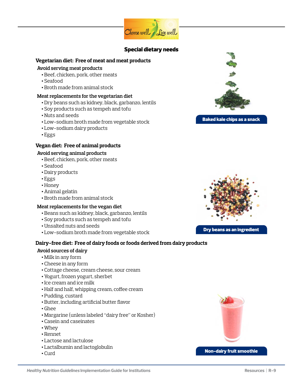

## Special dietary needs

## **Vegetarian diet: Free of meat and meat products**

## **Avoid serving meat products**

- Beef, chicken, pork, other meats
- Seafood
- Broth made from animal stock

## **Meat replacements for the vegetarian diet**

- Dry beans such as kidney, black, garbanzo, lentils
- Soy products such as tempeh and tofu
- Nuts and seeds
- Low-sodium broth made from vegetable stock
- Low-sodium dairy products
- Eggs

## **Vegan diet: Free of animal products**

## **Avoid serving animal products**

- Beef, chicken, pork, other meats
- Seafood
- Dairy products
- Eggs
- Honey
- Animal gelatin
- Broth made from animal stock

## **Meat replacements for the vegan diet**

- Beans such as kidney, black, garbanzo, lentils
- Soy products such as tempeh and tofu
- Unsalted nuts and seeds
- Low-sodium broth made from vegetable stock

## **Dairy-free diet: Free of dairy foods or foods derived from dairy products**

- **Avoid sources of dairy** 
	- Milk in any form
	- Cheese in any form
	- Cottage cheese, cream cheese, sour cream
	- Yogurt, frozen yogurt, sherbet
	- Ice cream and ice milk
	- Half and half, whipping cream, coffee cream
	- Pudding, custard
	- Butter, including artificial butter flavor
	- Ghee
	- Margarine (unless labeled "dairy free" or Kosher)
	- Casein and caseinates
	- Whey
	- Rennet
	- Lactose and lactulose
	- Lactalbumin and lactoglobulin
	- Curd



Baked kale chips as a snack



Dry beans as an ingredient

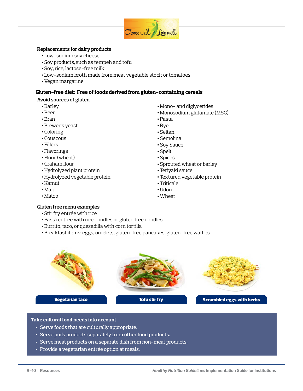

## **Replacements for dairy products**

- Low-sodium soy cheese
- Soy products, such as tempeh and tofu
- Soy, rice, lactose-free milk
- Low-sodium broth made from meat vegetable stock or tomatoes
- Vegan margarine

## **Gluten-free diet: Free of foods derived from gluten-containing cereals**

### **Avoid sources of gluten**

- Barley
- Beer
- Bran
- Brewer's yeast
- Coloring
- Couscous
- Fillers
- Flavorings
- Flour (wheat)
- Graham flour
- Hydrolyzed plant protein
- Hydrolyzed vegetable protein
- Kamut
- Malt
- Matzo

### **Gluten free menu examples**

- Stir fry entrée with rice
- Pasta entrée with rice noodles or gluten free noodles
- Burrito, taco, or quesadilla with corn tortilla
- Breakfast items: eggs, omelets, gluten-free pancakes, gluten-free waffles



## **Take cultural food needs into account**

- Serve foods that are culturally appropriate.
- Serve pork products separately from other food products.
- Serve meat products on a separate dish from non-meat products.
- Provide a vegetarian entrée option at meals.
- Mono- and diglycerides
- Monosodium glutamate (MSG)
- Pasta
- Rye
- Seitan
- Semolina
- Soy Sauce
- Spelt
- Spices
- Sprouted wheat or barley
- Teriyaki sauce
- Textured vegetable protein
- Triticale
- $\blacksquare$  I Idon
- Wheat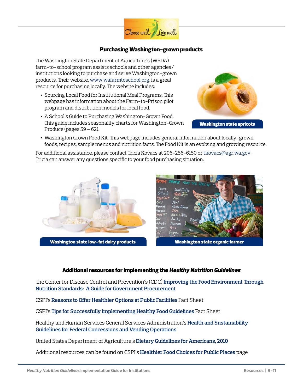

## Purchasing Washington-grown products

The Washington State Department of Agriculture's (WSDA) farm-to-school program assists schools and other agencies/ institutions looking to purchase and serve Washington-grown products. Their website, [www.wafarmtoschool.org,](http://www.wafarmtoschool.org) is a great resource for purchasing locally. The website includes:

- Sourcing Local Food for Institutional Meal Programs. This webpage has information about the Farm-to-Prison pilot program and distribution models for local food.
- A School's Guide to Purchasing Washington-Grown Food. This guide includes seasonality charts for Washington-Grown Produce (pages 59 – 62).



• Washington Grown Food Kit. This webpage includes general information about locally-grown foods, recipes, sample menus and nutrition facts. The Food Kit is an evolving and growing resource.

For additional assistance, please contact Tricia Kovacs at 206-256-6150 or [tkovacs@agr.wa.gov](mailto:tkovacs%40agr.wa.gov?subject=). Tricia can answer any questions specific to your food purchasing situation.





## Additional resources for implementing the *Healthy Nutrition Guidelines*

The Center for Disease Control and Prevention's (CDC) **[Improving the Food Environment Through](http://www.cdc.gov/salt/pdfs/DHDSP_Procurement_Guide.pdf)  [Nutrition Standards: A Guide for Government Procurement](http://www.cdc.gov/salt/pdfs/DHDSP_Procurement_Guide.pdf)**

CSPI's **[Reasons to Offer Healthier Options at Public Facilities](http://cspinet.org/nutritionpolicy/10-reasons-to-adopt-procurement-policy.pdf)** Fact Sheet

CSPI's **[Tips for Successfully Implementing Healthy Food Guidelines](http://cspinet.org/nutritionpolicy/Successful-Implementation.pdf)** Fact Sheet

Healthy and Human Services General Services Administration's **[Health and Sustainability](http://www.gsa.gov/graphics/pbs/Guidelines_for_Federal_Concessions_and_Vending_Operations.pdf)  [Guidelines for Federal Concessions and Vending Operations](http://www.gsa.gov/graphics/pbs/Guidelines_for_Federal_Concessions_and_Vending_Operations.pdf)**

United States Department of Agriculture's **<Dietary Guidelines for Americans, 2010>**

Additional resources can be found on CSPI's **[Healthier Food Choices for Public Places](http://cspinet.org/nutritionpolicy/foodstandards.html)** page